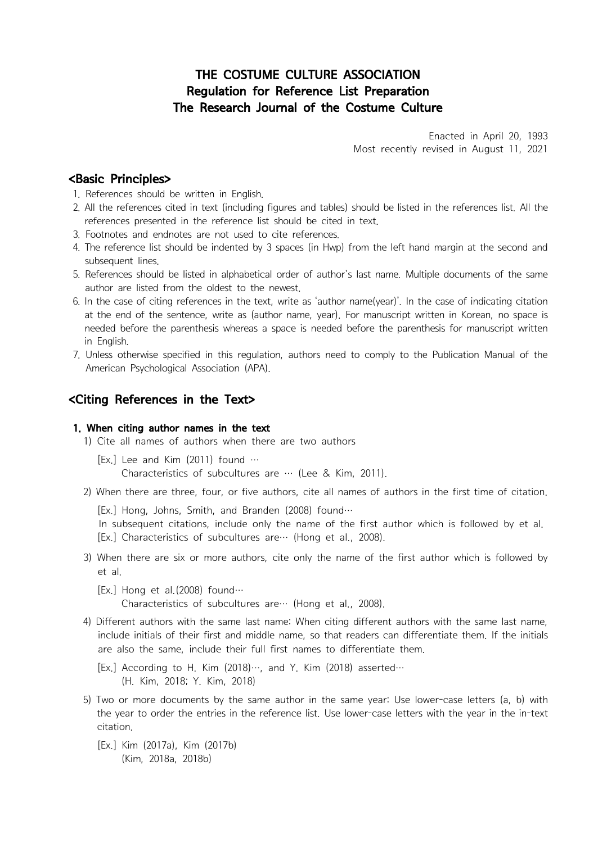# THE COSTUME CULTURE ASSOCIATION Regulation for Reference List Preparation The Research Journal of the Costume Culture

Enacted in April 20, 1993 Most recently revised in August 11, 2021

## <Basic Principles>

- 1. References should be written in English.
- 2. All the references cited in text (including figures and tables) should be listed in the references list. All the references presented in the reference list should be cited in text.
- 3. Footnotes and endnotes are not used to cite references.
- 4. The reference list should be indented by 3 spaces (in Hwp) from the left hand margin at the second and subsequent lines.
- 5. References should be listed in alphabetical order of author's last name. Multiple documents of the same author are listed from the oldest to the newest.
- 6. In the case of citing references in the text, write as 'author name(year)'. In the case of indicating citation at the end of the sentence, write as (author name, year). For manuscript written in Korean, no space is needed before the parenthesis whereas a space is needed before the parenthesis for manuscript written in English. at the end of the sentence, write as (author name, year). For manuscript w<br>
in English.<br>
1) Cite all names opecified in this regulation, authors need to comply to the<br>
American Psychological Association (APA).<br>
1) Cite all
- 7. Unless otherwise specified in this regulation, authors need to comply to the Publication Manual of the American Psychological Association (APA). meeded before the parenthesis whereas a space is needed before the<br>in English.<br>7. Unless otherwise specified in this regulation, authors need to comply<br>American Psychological Association (APA).<br>**<Citing References in the T** In English.<br>
T. Unless otherwise specified in this regulation, authors need to comply to the Publication Manual of the<br>
American Psychological Association (APA).<br> **Citing References in the Text>**<br>
1. **When citing author na**

## $\lt$ Citing References in the Text $>$

## 1. When citing author names in the text

- -
- -
	-
- **Citing References in the Text>**<br>
1. **When citing author names in the text**<br>
1) Cite all names of authors when there are two authors<br>
[Ex,] Lee and Kim (2011) found ...<br>
2) When tere are three, four, or five authors, cite et al. [Ex.] Lee and Kim (2011) found …<br>Characteristics of subcultures are … (Lee & Kim, 2011)<br>2) When there are three, four, or five authors, cite all names of<br>[Ex.] Hong, Johns, Smith, and Branden (2008) found…<br>In subsequent c
	-

- Characteristics of subcultures are … (Lee & Kim, 2011).<br>
2) When there are three, four, or five authors, cite all names of authors in the first time of citation.<br>
[Ex.] Hong, Johns, Smith, and Branden (2008) found…<br>
1n su include initials of their first and middle name, so that readers can differentiate them. If the initials are also the same, include their full first names to differentiate them. Ex.] Characteristics of subcultures are… (Hong et al., 2008).<br>
3) When there are six or more authors, cite only the name of the first author which is followed b<br>
et al.<br>
[Ex.] Hong et al. (2008) found…<br>
Characteristics of (Here are six or more authors, cite only<br>
et al.<br>
(Ex.] Hong et al.(2008) found…<br>
Characteristics of subcultures are… (Ho<br>
4) Different authors with the same last name: Wh<br>
include initials of their first and middle name,<br>
	-
- in Ex.] Hong et al. (2008) found…<br>
Characteristics of subcultures are… (Hong et al., 2008).<br>
4) Different authors with the same last name: When citing different authors with the same last name,<br>
include initials of their f the year to order the entries in the reference list. Use lower-case letters with the year in the in-text 4) Different authors with the same last name:<br>
include initials of their first and middle na<br>
are also the same, include their full first<br>
[Ex.] According to H. Kim (2018)…, and<br>
(H. Kim, 2018; Y. Kim, 2018)<br>
5) Two or mo (Kim, 2018a, 2018b)<br>
(Kim, 2018a, 2018b)<br>
(Kim, 2018a, 2018b)<br>
(Kim, 2018a, 2018b)<br>
(Kim, 2018a, 2018b)<br>
(Kim, 2018a, 2018b)<br>
(Kim, 2018a, 2018b)
	-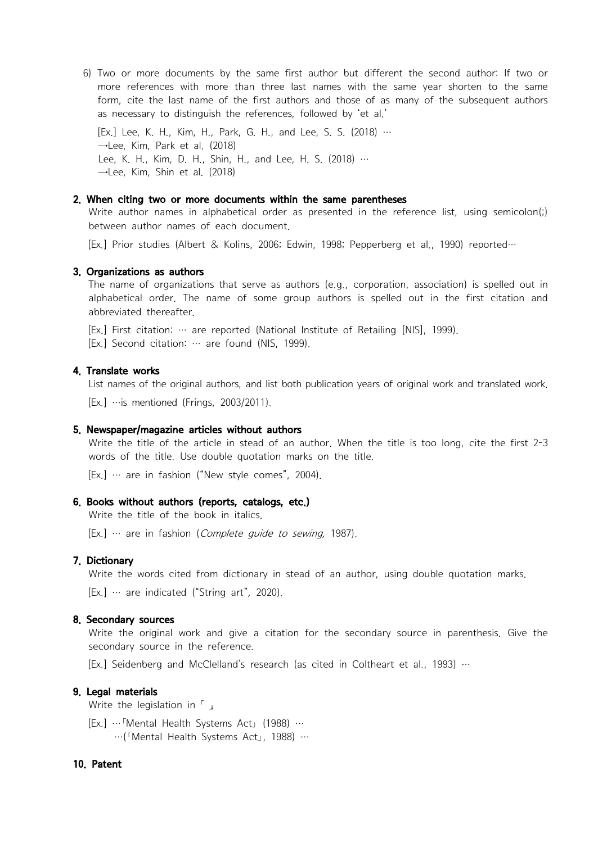6) Two or more documents by the same first author but different the second author: If two or more references with more than three last names with the same year shorten to the same form, cite the last name of the first auth more references with more than three last names with the same year shorten to the same form, cite the last name of the first authors and those of as many of the subsequent authors 6) Two or more documents by the same first author but different the second author: If two more references with more than three last names with the same year shorten to the s<br>form, cite the last name of the first authors a 6) Two or more documents by the same f<br>more references with more than three<br>form, cite the last name of the first aut<br>as necessary to distinguish the references<br>[Ex.] Lee, K. H., Kim, H., Park, G. H., an<br>→Lee, K. H., Kim 6) Two or more documents by the same first author but different the second author: I<br>more references with more than three last names with the same year shorten to t<br>form, cite the last name of the first authors and those 6) Two or more documents by the same f<br>more references with more than three<br>form, cite the last name of the first aut<br>as necessary to distinguish the reference:<br>[Ex.] Lee, K. H., Kim, H., Park, G. H., an<br>→Lee, Kim, Park more references with more than three last names with the same year shorten to the same<br>form, cite the last name of the first authors and those of as many of the subsequent authors<br>as necessary to distinguish the reference

as necessary to distinguish the reterences, followed by 'et al.'<br>
[Ex.] Lee, K. H., Kim, H., Park, G. H., and Lee, S. S. (2018) …<br>  $-$ Lee, K. H., Kim, D. H., Shin, H., and Lee, H. S. (2018) …<br>  $-$ Lee, K. H., Kim, D. H., S

### 2. When citing two or more documents within the same parentheses

### 3. Organizations as authors

Lee, K. H., Kim, D. H., Shin, H., and Lee, H. S. (2018) …<br>
—Lee, Kim, Shin et al. (2018)<br>
2. When citing two or more documents within the same parentheses<br>
Write author names in alphabetical order as presented in the refer alphabetical order. The name of some group authors is spelled out in the first citation and **2. When citing two or more documents within the same parentheses**<br>Write author names of each document.<br>IEx.] Prior studies (Albert & Kolins, 2006; Edwin, 1998; Pepperberg et al., 1990) reported<br>**3. Organizations as author 3. Organizations as authors**<br>
The name of organizations that serve as authors (e.g., corporation, association) is spelled out in alphabetical order. The name of some group authors is spelled out in the first citation and

- 
- 

abbrewated thereatter.<br>
[Ex.] First citation: … are reported (National Institute of Retailing [NIS], 1999).<br>
[Ex.] Second citation: … are found (NIS, 1999).<br> **4. Translate works**<br>
List names of the original authors, and l words of the title. Use double quotation marks on the title. **4. Translate works**<br> **4. Translate works**<br>
List names of the original authors, and list both publication year<br>
[Ex.] … is mentioned (Frings, 2003/2011).<br> **5. Newspaper/magazine articles without authors**<br>
Write the title List names of the original authors, and list both publication years of or<br>
[Ex.] … is mentioned (Frings, 2003/2011).<br> **5. Newspaper/magazine articles without authors**<br>
Write the title of the article in stead of an author. Write the title of the article in stead of an author, When the title is too long, cite the first 2-3 words of the title. Use double quotation marks on the title.<br>
[Ex.] … are in fashion ("New style comes", 2004).<br> **6. Boo** 

**Ex.**] … are in fashion ("New style comes", 2004).<br> **6. Books without authors (reports, catalogs, etc.)**<br>
Write the title of the book in italics.<br>
[Ex.] … are in fashion (*Complete guide to sewing,*<br> **7. Dictionary**<br>
Writ

**6. Books without authors (reports, catalogs, etc.)**<br>
Write the title of the book in italics.<br>
[Ex.] … are in fashion (*Complete guide to sewing*, 1987).<br> **7. Dictionary**<br>
Write the words cited from dictionary in stead of Solutionary<br>
S. Dictionary<br>
Write the words cited from dictionary in stead of an author, using double quotation marks,<br>  $[Ex.]$  … are indicated ("String art", 2020).<br>
8. Secondary sources<br>
Write the original work and give a Write the words cited from dictionary in stead of an author, using double<br>
[Ex.] … are indicated ("String art", 2020).<br> **8. Secondary sources**<br>
Write the original work and give a citation for the secondary source in<br>
secon **8. Secondary sources**<br>
Write the original work and give a citation for the secondary source in<br>
secondary source in the reference.<br>
[Ex.] Seidenberg and McClelland's research (as cited in Coltheart et al., 199<br> **9. Legal** 

### 9. Legal materials

## 10. Patent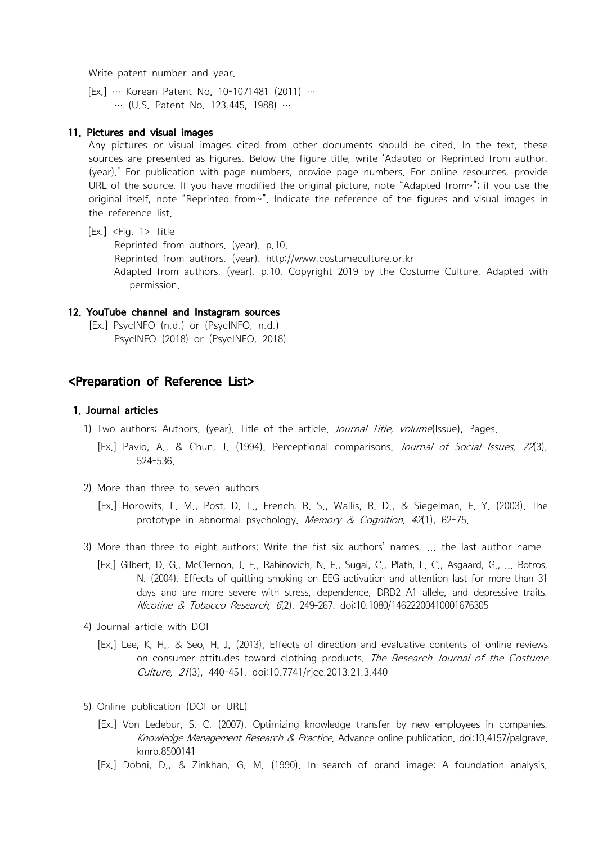Write patent number and year.<br>
[Ex.] … Korean Patent No. 10-1071481 (2011) …<br>
… (U.S. Patent No. 123,445, 1988) … Write patent number and year.<br>
[Ex.] … Korean Patent No. 10-1071481 (2011) …<br>
… (U.S. Patent No. 123,445, 1988) …<br> **11. Pictures and visual images** 

### 11. Pictures and visual images

Write patent number and year.<br>
[Ex.] ... Korean Patent No. 10-1071481 (2011) ...<br>
... (U.S. Patent No. 123,445, 1988) ...<br> **11. Pictures and visual images**<br>
Any pictures or visual images cited from other documents should b sources are presented as Figures. Below the figure title, write 'Adapted or Reprinted from author. (year).' For publication with page numbers, provide page numbers. For online resources, provide URL of the source. If you have modified the original picture, note "Adapted from~"; if you use the original itself, note "Reprinted from $\sim$ ". Indicate the reference of the figures and visual images in ... (U.S. Patent No. 123,445, 1<br> **11. Pictures and visual images**<br>
Any pictures or visual images cited<br>
sources are presented as Figures. Be<br>
(year).' For publication with page ni<br>
URL of the source. If you have modi<br>
orig **11. Pictures and visual images**<br>Any pictures or visual images cited from other docu<br>sources are presented as Figures. Below the figure title<br>(year).' For publication with page numbers, provide pa<br>URL of the source. If yo **11. Pictures and visual images**<br>Any pictures or visual images cited from other documents should be cited. In<br>sources are presented as Figures. Below the figure title, write 'Adapted or Reprint<br>(year).' For publication wi Any pictures or visual images cited from other documents should be cited. In the text, these<br>sources are presented as Figures. Below the figure title, write 'Adapted or Reprinted from author.<br>(year).' For publication with

permission. original itself, note "Reprinted from~". Indicate the<br>the reference list.<br>[Ex.] <Fig. 1> Title<br>Reprinted from authors. (year). p.10.<br>Reprinted from authors. (year). http://www.cos<br>Adapted from authors. (year). p.10. Copyri the reference list.<br>
[Ex.] <Fig. 1> Title<br>
Reprinted from authors. (year). p.10.<br>
Reprinted from authors. (year). http://www.costu<br>
Adapted from authors. (year). p.10. Copyright :<br>
permission.<br> **12. YouTube channel and Ins** 

## 12. YouTube channel and Instagram sources

## <Preparation of Reference List>

## 1.Journal articles

- 12. YouTube channel and Instagram sources<br>
[Ex.] PsycINFO (n.d.) or (PsycINFO, n.d.)<br>
PsycINFO (2018) or (PsycINFO, 2018)<br>
<br> **SPreparation of Reference List>**<br>
1) Two authors: Authors. (year). Title of the article. *Journa* **<Preparation of Reference List>**<br> **1. Journal articles**<br>
1) Two authors: Authors. (year). Title of the article<br>
[Ex.] Pavio, A., & Chun, J. (1994). Perceptiona<br>
524-536.<br>
2) More than three to seven authors<br>
[Ex.] Horowit **Christian of Reference List>**<br> **1. Journal articles**<br>
1) Two authors: Authors. (year). Title of the article. *Journal Title, volume*(Issue), Pages.<br>
[Ex.] Pavio, A., & Chun, J. (1994). Perceptional comparisons. *Journal o* prototype in abnormal psychology. Memory & Cognition, 42(1), 62-75.<br>
1994). Perceptional comparisons. Journal of Social Issues, 72(3), 524-536.<br>
2) More than three to seven authors<br>
[Ex.] Horowits, L. M., Post, D. L., Fren
	- -
	-
- [Ex.] Pavio, A., & Chun, J. (1994). Perceptional comparisons. *Journal of Social Issues, 72*(3), 524-536.<br>[Ex.] Pavio, A., & Chun, J. (1994). Perceptional comparisons. *Journal of Social Issues, 72*(3), 524-536.<br>2) More th N. (2004). Effects of quitting smoking on EEG activation and attention last for more than 31 days and are more severe with stress, dependence, DRD2 A1 allele, and depressive traits. Nicotine & Tobacco Research, 6(2), 249-267, doi:10.1080/14622200410001676305 [Ex.] Horowits, L. M., Post, D. L., French, R. S., Wallis, R. D., & Siegelman, E. Y. (2003). The<br>prototype in abnormal psychology. *Memory & Cognition*, 42(1), 62-75.<br>3) More than three to eight authors: Write the fist si N. (2004). Effects of quitting smoking<br>days and are more severe with stre<br>Nicotine & Tobacco Research, 6(2), :<br>4) Journal article with DOI<br>[Ex.] Lee, K. H., & Seo, H. J. (2013). Effects<br>on consumer attitudes toward clott<br>
	-
- on consumer attitudes toward clothing products. The Research Journal of the Costume Culture, 21(3), 440-451. doi:10.7741/rjcc.2013.21.3.440 days and are more severe with stress, dependence, DKDZ AT allele, and depressive trans.<br> *Nicotine & Tobacco Research*, 6(2), 249-267. doi:10.1080/14622200410001676305<br>
4) Journal article with DOI<br>
[Ex.] Lee, K. H., & Seo, [Ex.] Lee, K. H., & Seo, H. J. (2013). Effects of direction and evaluative contents of online reviews<br>on consumer attitudes toward clothing products. *The Research Journal of the Costume<br>Culture, 21*(3), 440-451. doi:10.77
	- - Knowledge Management Research & Practice. Advance online publication. doi:10.4157/palgrave. kmrp.8500141
		-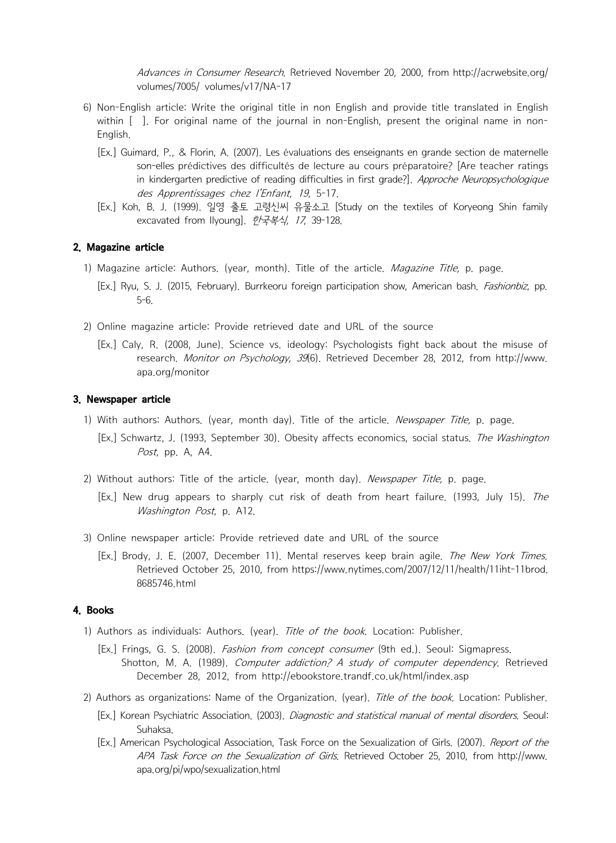Advances in Consumer Research. Retrieved November 20, 2000, from http://acrwebsite.org/ volumes/7005/ volumes/v17/NA-17

- Advances in Consumer Research. Retrieved November 20, 2000, from http://acrwebsite.org/<br>volumes/7005/ volumes/v17/NA-17<br>6) Non-English article: Write the original title in non English and provide title translated in Englis Advances in Consumer Research, Retrieved November 20, 2000, from http://acrwebsite.org/<br>volumes/7005/ volumes/v17/NA-17<br>Non-English article: Write the original itle in non-English and provide title translated in English<br>wi
- English anticle: Write the original title in non English and provide title translated in English<br>
Sol Non-English article: Write the original title in non English and provide title translated in English<br>
within [ ]. For or son-elles prédictives des difficultés de lecture au cours préparatoire? [Are teacher ratings in kindergarten predictive of reading difficulties in first grade?]. Approche Neuropsychologique des Apprentissages chez l'Enfant, 19, 5-17.<br>
(a) Non-English article: Write the original title in non English and provide title translated in English<br>
within []. For original name of the journal in non-English, present the 11) Magazine article: Authors. (year, month). Title of the article. Magazine Title, p. page. (Ex.) Ryu, S. J. (2015, February). Burrkeoru foreign particle of the article of Koryeong Shin family excavated from Ilyoung].  $\$ 
	- excavated from Ilyoung].  $\bar{p}$   $\neq$   $\frac{4}{3}$ , 17, 39-128.

### 2. Magazine article

- 
- Ex.] Koh, B. J. (1999). 일영 출토 고령신씨 유물소고 [Study on the textiles of Koryeong Shine<br>excavated from llyoung]. *한국복식, 17*, 39-128.<br>**2. Magazine article**<br>1) Magazine article: Authors. (year, month). Title of the article. *Magaz* 
	-
- **2. Magazine article:**<br> **2. Magazine article:**<br> **2. Magazine article:**<br> **2. Magazine article:** Authors. (year, month). Title of the article. *Magazine Title*, p. page.<br>
[Ex.] Ryu, S. J. (2015, February). Burrkeoru foreign research. Monitor on Psychology, 39(6). Retrieved December 28, 2012, from http://www. apa.org/monitor 1) With authors: Authors. (year, month day). Title of the article. Newspaper Title, p. page. (Ex.] Schwartz, J. (1993, September 30). Obesity affects economics, social status. The Washington Post, pp. A, A4. Post, pp. A, A4. **Design and article.** (year, month day). The article of the article. *Newspaper Title*, p. page. (Ex.] Schwartz, J. (1993, September 30). Obesity affects economics, social status. *The Washington Post*, pp

### 3. Newspaper article

- 
- Washington Post, p. A12. (1993, September 30). Obesity affects economics, social status. The Washington Post, pp. A, A4.<br>
2) Without authors: Title of the article. (year, month day). *Newspaper Title*, p. page.<br>
[Ex.] New
	- -
	-
- [Ex.] Schwartz, J. (1993, September 30). Obesity affects economics, social status. The Washington Post, pp. A, A4.<br>
2) Without authors: Title of the article. (year, month day). Newspaper Title, p. page.<br>
[Ex.] New drug app Retrieved October 25, 2010, from https://www.nytimes.com/2007/12/11/health/11iht-11brod. 8685746.html

## 4. Books

- 
- (Lx.) Hew analy suppears to strainly cut hist of death from literat randice, (1555, 3diy 15). The<br> *Washington Post*, p. A12.<br>
3) Online newspaper article: Provide retrieved date and URL of the source<br>
[Ex.] Brody, J. E. ( December 28, 2012, from http://ebookstore.trandf.co.uk/html/index.asp 2) Authors as individuals: Authors. (year). Title of the book. Location: Publisher.<br> **4. Books**<br>
2) Authors as individuals: Authors. (year). *Title of the book*. Location: Publisher.<br>
[Ex.] Frings, G. S. (2008). *Fashion f* **4. BOOKS**<br>
1) Authors as individuals: Authors. (year). *Title of the book*. Location: Publisher.<br>
[Ex.] Frings, G. S. (2008). *Fashion from concept consumer* (9th ed.). Seoul: Sigmapress.<br>
Shotton, M. A. (1989). *Computer* 
	- -
		- APA Task Force on the Sexualization of Girls. Retrieved October 25, 2010, from http://www. apa.org/pi/wpo/sexualization.html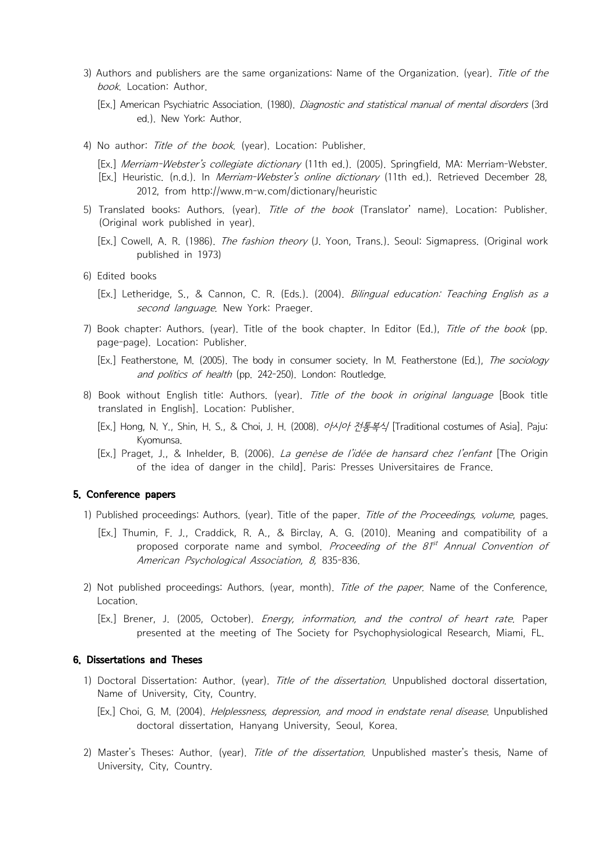- 3) Authors and publishers are the same organizations: Name of the Organization. (year). *Title of the<br>book*. Location: Author.<br>[Ex.] American Psychiatric Association. (1980). *Diagnostic and statistical manual of mental di* book. Location: Author.<br> *book.* Location: Author.<br>
[Ex.] American Psychiatric Association. (1980). *Diagnostic and statistical manual of mental disorders* (3rd ed.). New York: Author. 3) Authors and publishers are the same organizations: Name of the Organization. (year). *Title of the*<br> *book*, Location: Author.<br>
[Ex.] American Psychiatric Association. (1980). *Diagnostic and statistical manual of menta*
- 5) Translated books: Authors. (year). Translated books. Location: Author.<br>
[Ex.] American Psychiatric Association. (1980). *Diagnostic and statistical manual of mental disorders* (3rd<br>
ed.). New York: Author.<br>
4) No author
	- -
		- 2012, from http://www.m-w.com/dictionary/heuristic
- (Ex.) Michael Mark Publisher. (1996). Districts published in the North publisher.<br>
(B.) New York: Author.<br>
(Ex.) *Merriam-Webster's collegiate dictionary* (11th ed.). (2005). Springfield, MA: Merriam-Webster.<br>
[Ex.] *Merri* 4) No author: *Title of the book.* (y<br>
[Ex.] *Merriam-Webster's collegiate*<br>
[Ex.] Heuristic. (n.d.). In *Merrian*<br>
2012, from http://www.m<br>
5) Translated books: Authors. (yea<br>
(Original work published in year)<br>
[Ex.] Cowe [Ex.] *Merriam-Webster's collegiate dictionary* (11th ed.). (2005). Springfield, MA: Merriam-Webster.<br>
[Ex.] Heuristic. (n.d.). In *Merriam-Webster's online dictionary* (11th ed.). Retrieved December 28,<br>
2012, from http:/
	- published in 1973)
	- -
- S) Translated books: Authors. (year). *Title of the book* (Translator' name). Location: Publisher.<br>
(Original work published in year).<br>
[Ex.] Cowell, A. R. (1986). *The fashion theory* (J. Yoon, Trans.). Seoul: Sigmapress page-page). Location: Publisher. In Editor (Ed.), The fashion theory (J. Yoon, Trans.). Seoul: Sigmapress. (Original work<br>published in 1973)<br>6) Edited books<br>[Ex.] Letheridge, S., & Cannon, C. R. (Eds.). (2004). *Bilingual* 
	-
- 6) Edited books<br>
[Ex.] Letheridge, S., & Cannon, C. R. (Eds.). (2004). *Bilingual education: Teaching English as a*<br> *second language*. New York: Praeger.<br>
7) Book chapter: Authors. (year). Title of the book chapter. In E translated in English]. Location: Publisher. [Ex.] Letnenage, S., & Cannon, C. R. (Eds.). (2004). *Billingual education. Teacning English as a*<br>second language. New York: Praeger.<br>7) Book chapter: Authors. (year). Title of the book chapter. In Editor (Ed.), *Title o* Fyond Chapter: Authors, (year). Title of the book chapter. In Editor (Ed.), *Title of the book* (pp. page-page). Location: Publisher.<br>
[Ex.] Featherstone, M. (2005). The body in consumer society. In M. Featherstone (Ed.),
	-
	- of the idea of danger in the child]. Paris: Presses Universitaires de France.

## 5. Conference papers

- 
- 1) Published proceedings: Authors. (year). Title of the book in original language [Book title translated in English]. Location: Publisher.<br>
[Ex.] Hong, N. Y., Shin, H. S., & Choi, J. H. (2008).  $\rho A / \partial f$   $\frac{M}{5}$   $\frac{M}{5$ proposed corporate name and symbol. Proceeding of the  $81<sup>st</sup>$  Annual Convention of American Psychological Association, 8, 835-836.<br> **American Psychological Association, 8, 835-836.** 2)<br> **American Psychological Association, 8, 835-836.** 2)<br>
 2) Not published proceedings: Authors. (year). Title o **5. Conference papers**<br>
1) Published proceedings: Authors. (year). Title of the paper. *Title of the Proceedings, volume*, pages.<br>
[Ex.] Thumin, F. J., Craddick, R. A., & Birclay, A. G. (2010). Meaning and compatibility o
- 1) Polyosed Corporate name and symbol, *Proceeding Of the OF Annual Convention of*<br> *American Psychological Association, 8, 835-836.*<br>
2) Not published proceedings: Authors. (year, month). *Title of the paper*. Name of the 2) Not published proceedings: Authors. (year, month). *Title of the paper*. Name of the Conference,<br>Location.<br>
[Ex.] Brener, J. (2005, October). *Energy, information, and the control of heart rate*. Paper<br>
presented at the
	- presented at the meeting of The Society for Psychophysiological Research, Miami, FL.

### 6. Dissertations and Theses

- Name of University, City, Country.
	-
- doctoral dissertation, Hanyang *Inferioris, Seclidation, and the Complete Complete Trace, Laper*<br>presented at the meeting of The Society for Psychophysiological Research, Miami, FL.<br>**6. Dissertations and Theses**<br>1) Doctora University, City, Country.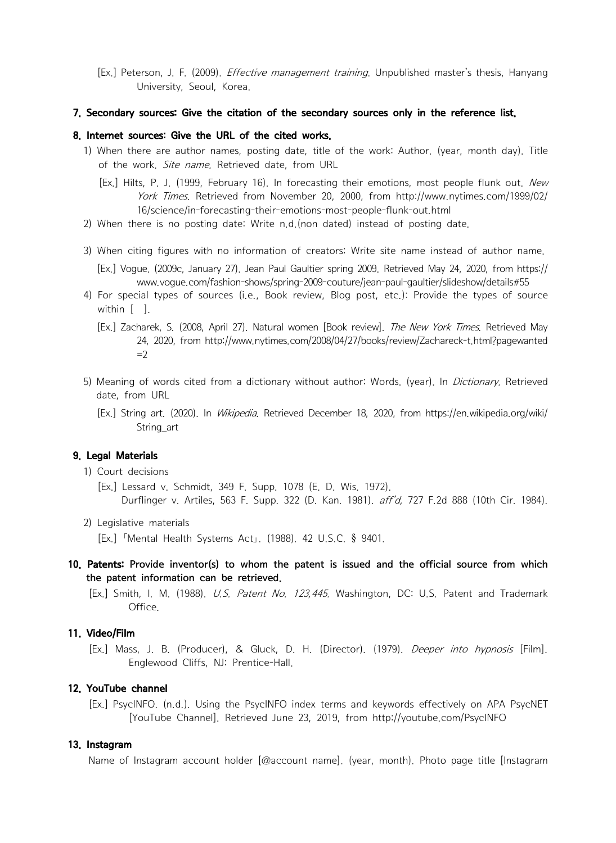[Ex.] Peterson, J. F. (2009). *Effective management training*. Unpublished master's thesis, Hanyang<br>University, Seoul, Korea. University, Seoul, Korea.

### 7. Secondary sources: Give the citation of the secondary sources only in the reference list.

- 8. Internet sources: Give the cited works.<br> **1. Secondary sources: Give the citation of the secondary sources only in the reference list.**<br> **1. Secondary sources: Give the citation of the secondary sources only in the refe** of the work. Site name. Retrieved date, from URL
- [Ex.] Peterson, J. F. (2009). *Effective management training*. Unpublished master's thesis, Hanyang<br> **7. Secondary sources: Give the citation of the secondary sources only in the reference list.**<br> **8. Internet sources: Giv** York Times. Retrieved from November 20, 2000, from http://www.nytimes.com/1999/02/ [Ex.] Hilts, P. J. (1999, February 16). In forec<br>
York Times. Retrieved from Novembe<br>
16/science/in-forecasting-their-emotio<br>
When there is no posting date: Write n.d.(nc<br>
When citing figures with no information of c<br>
[Ex.
	-
- 7. Secondary sources: Give the citation of the secondary sources only in the reference list.<br>
8. Internet sources: Give the URL of the cited works.<br>
1) When there are author names, posting date, title of the work: Author. **6. Internet sources. Give the OKL OT the cited works.**<br>
1) When there are author names, posting date, title of the work: Author. (year, month day). Title<br>
of the work. *Site name*. Retrieved date, from URL<br>
[Ex.] Hilts, www.vogue.com/fashion-shows/spring-2009-couture/jean-paul-gaultier/slideshow/details#55 of the work, *Site name*, Retrieved date, from URL<br>
[Ex.] Hilts, P. J. (1999, February 16). In forecasting their emotions, most people flunk out. *New*<br>
York Times. Retrieved from November 20, 2000, from http://www.nytimes
	-
- Fork Times. Netrieved from November 20, 2000, from http://www.nytimes.com/1999/02/<br>
16/science/in-forecasting-their-emotions-most-people-flunk-out.html<br>
2) When there is no posting date: Write n.d.(non dated) instead of po 24, 2020, from http://www.nytimes.com/2008/04/27/books/review/Zachareck-t.html?pagewanted  $=2$ 5) When citing figures with no information of creators: Write site name instead of author name.<br>
[Ex.] Vogue. (2009c, January 27). Jean Paul Gaultier spring 2009. Retrieved May 24, 2020, from https://<br>
www.vogue.com/fashio www.vogue.com/fashion-shows/spring-2009-couture/jean-paul-gaulter/slideshow/details#55<br>
4) For special types of sources (i.e., Book review, Blog post, etc.): Provide the types of source<br>
within [ ].<br>
[Ex.] Zacharek, S. (20
- date, from URL 24, 2020, from http://www<br>  $=$ 2<br>
5) Meaning of words cited from a c<br>
date, from URL<br>
[Ex.] String art. (2020). In *Wikiped*<br>
String\_art<br> **9. Legal Materials**<br>
1) Court decisions<br>
[Ex.] Lessard v. Schmidt, 349 F.<br>
Durfling Ex.] String art. (2020). In *Wikipedia*. Retrieved December 18, 2020, from https://en.wikipedia.org/wiki/<br>
String\_art<br> **9. Legal Materials**<br>
1) Court decisions<br>
[Ex.] Lessard v. Schmidt, 349 F. Supp. 1078 (E. D. Wis. 1972)
	- String\_art

## 9. Legal Materials

- 
- [Ex.] String art. (2020). In *Wikipedia*. Retrieved December 18, 2020, from htt<br>
String\_art<br> **9. Legal Materials**<br>
1) Court decisions<br>
[Ex.] Lessard v. Schmidt, 349 F. Supp. 1078 (E. D. Wis. 1972).<br>
Durflinger v. Artiles,
	-
- 10. Patents: Provide inventor(s) to whom the patent is issued and the official source from which 1) Court decisions<br>
[Ex.] Lessard v. Schmidt, 349 F. Supp. 1078 (E. D. Wis. 1972).<br>
Durflinger v. Artiles, 563 F. Supp. 322 (D. Kan. 1981). *aff'd*, 727 F.2d 888 (10th Cir. 1984).<br>
2) Legislative materials<br>
[Ex.] <sup>F</sup>Mental 2) Legislative materials<br>
[Ex.] <sup>F</sup>Mental Health Systems Act<sub>J</sub>. (1988), 42 U.S.C. § 9401,<br> **10. Patents: Provide inventor(s) to whom the patent is issued and the official source from which<br>
the patent information can be r** 
	- Office.

## 11. Video/Film

Englewood Cliffs, NJ: Prentice-Hall. 12. 12. YouTube Channel (Ex.) PsycINFO.<br>
12. YouTube Channel Channel (Ex.) Nass, J. B. (Producer), & Gluck, D. H. (Director). (1979). *Deeper into hypnosis* [Film].<br>
12. YouTube channel (Ex.) Nass, J. B. (Producer), & Gluc

[YouTube Channel]. Retrieved June 23, 2019, from http://youtube.com/PsycINFO

### 13. Instagram

Name of Instagram account holder [@account name]. (year, month). Photo page title [Instagram